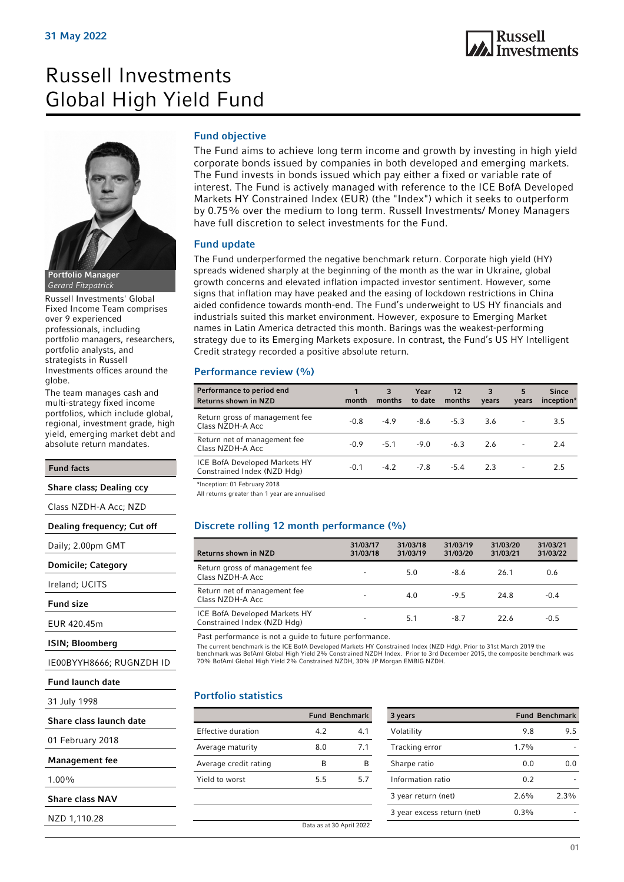# Russell Investments Global High Yield Fund



Portfolio Manager Gerard Fitzpatrick

Russell Investments' Global Fixed Income Team comprises over 9 experienced professionals, including portfolio managers, researchers, portfolio analysts, and strategists in Russell Investments offices around the globe.

The team manages cash and multi-strategy fixed income portfolios, which include global, regional, investment grade, high yield, emerging market debt and absolute return mandates.

### Fund facts

Share class; Dealing ccy

Class NZDH-A Acc; NZD

Dealing frequency; Cut off

Daily; 2.00pm GMT

Domicile; Category

Ireland; UCITS

Fund size

EUR 420.45m

ISIN; Bloomberg

IE00BYYH8666; RUGNZDH ID

```
Fund launch date
```
31 July 1998

|  |  | Share class launch date |  |
|--|--|-------------------------|--|
|--|--|-------------------------|--|

01 February 2018

Management fee

1.00%

Share class NAV

NZD 1,110.28

### Fund objective

The Fund aims to achieve long term income and growth by investing in high yield corporate bonds issued by companies in both developed and emerging markets. The Fund invests in bonds issued which pay either a fixed or variable rate of interest. The Fund is actively managed with reference to the ICE BofA Developed Markets HY Constrained Index (EUR) (the "Index") which it seeks to outperform by 0.75% over the medium to long term. Russell Investments/ Money Managers have full discretion to select investments for the Fund.

### Fund update

The Fund underperformed the negative benchmark return. Corporate high yield (HY) spreads widened sharply at the beginning of the month as the war in Ukraine, global growth concerns and elevated inflation impacted investor sentiment. However, some signs that inflation may have peaked and the easing of lockdown restrictions in China aided confidence towards month-end. The Fund's underweight to US HY financials and industrials suited this market environment. However, exposure to Emerging Market names in Latin America detracted this month. Barings was the weakest-performing strategy due to its Emerging Markets exposure. In contrast, the Fund's US HY Intelligent Credit strategy recorded a positive absolute return.

### Performance review (%)

| Performance to period end<br><b>Returns shown in NZD</b>     | month  | 3<br>months | Year<br>to date | $12 \overline{ }$<br>months | 3<br>years | 5<br>years | <b>Since</b><br>inception* |
|--------------------------------------------------------------|--------|-------------|-----------------|-----------------------------|------------|------------|----------------------------|
| Return gross of management fee<br>Class NZDH-A Acc           | $-0.8$ | $-4.9$      | -8.6            | $-5.3$                      | 3.6        |            | 3.5                        |
| Return net of management fee<br>Class NZDH-A Acc             | -0.9   | $-5.1$      | $-9.0$          | $-6.3$                      | 2.6        |            | 2.4                        |
| ICE BofA Developed Markets HY<br>Constrained Index (NZD Hdg) | -0.1   |             | $-4.2$ $-7.8$   | $-5.4$                      | 2.3        |            | 2.5                        |

\*Inception: 01 February 2018

All returns greater than 1 year are annualised

### Discrete rolling 12 month performance (%)

| <b>Returns shown in NZD</b>                                  | 31/03/17<br>31/03/18     | 31/03/18<br>31/03/19 | 31/03/19<br>31/03/20 | 31/03/20<br>31/03/21 | 31/03/21<br>31/03/22 |
|--------------------------------------------------------------|--------------------------|----------------------|----------------------|----------------------|----------------------|
| Return gross of management fee<br>Class NZDH-A Acc           | $\overline{\phantom{a}}$ | 5.0                  | $-8.6$               | 26.1                 | 0.6                  |
| Return net of management fee<br>Class NZDH-A Acc             | -                        | 4.0                  | $-9.5$               | 24.8                 | $-0.4$               |
| ICE BofA Developed Markets HY<br>Constrained Index (NZD Hdg) | -                        | 5.1                  | $-8.7$               | 22.6                 | $-0.5$               |

Past performance is not a guide to future performance.

The current benchmark is the ICE BofA Developed Markets HY Constrained Index (NZD Hdg). Prior to 31st March 2019 the benchmark was BofAml Global High Yield 2% Constrained NZDH Index. Prior to 3rd December 2015, the composite benchmark was

70% BofAml Global High Yield 2% Constrained NZDH, 30% JP Morgan EMBIG NZDH.

### Portfolio statistics

|                       |     | <b>Fund Benchmark</b>    |
|-----------------------|-----|--------------------------|
| Effective duration    | 4.2 | 4.1                      |
| Average maturity      | 8.0 | 71                       |
| Average credit rating | B   | в                        |
| Yield to worst        | 5.5 | 57                       |
|                       |     |                          |
|                       |     |                          |
|                       |     | Data as at 30 April 2022 |

| 3 years                    |         | <b>Fund Benchmark</b> |
|----------------------------|---------|-----------------------|
| Volatility                 | 9.8     | 9.5                   |
| Tracking error             | $1.7\%$ |                       |
| Sharpe ratio               | 0.0     | ი ი                   |
| Information ratio          | 0.2     |                       |
| 3 year return (net)        | 2.6%    | 2.3%                  |
| 3 year excess return (net) | $0.3\%$ |                       |
|                            |         |                       |

<sup>01</sup>